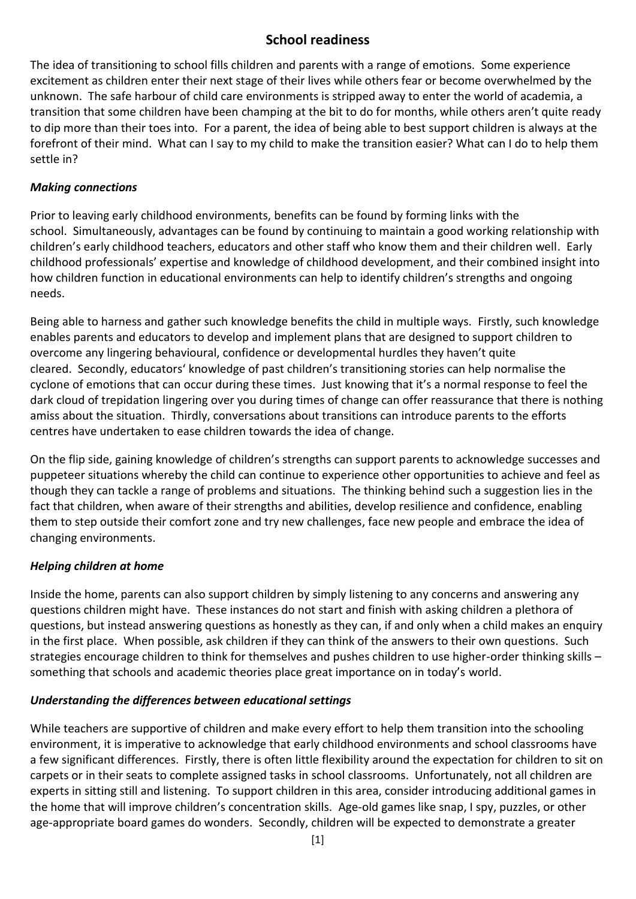# **School readiness**

The idea of transitioning to school fills children and parents with a range of emotions. Some experience excitement as children enter their next stage of their lives while others fear or become overwhelmed by the unknown. The safe harbour of child care environments is stripped away to enter the world of academia, a transition that some children have been champing at the bit to do for months, while others aren't quite ready to dip more than their toes into. For a parent, the idea of being able to best support children is always at the forefront of their mind. What can I say to my child to make the transition easier? What can I do to help them settle in?

## *Making connections*

Prior to leaving early childhood environments, benefits can be found by forming links with the school. Simultaneously, advantages can be found by continuing to maintain a good working relationship with children's early childhood teachers, educators and other staff who know them and their children well. Early childhood professionals' expertise and knowledge of childhood development, and their combined insight into how children function in educational environments can help to identify children's strengths and ongoing needs.

Being able to harness and gather such knowledge benefits the child in multiple ways. Firstly, such knowledge enables parents and educators to develop and implement plans that are designed to support children to overcome any lingering behavioural, confidence or developmental hurdles they haven't quite cleared. Secondly, educators' knowledge of past children's transitioning stories can help normalise the cyclone of emotions that can occur during these times. Just knowing that it's a normal response to feel the dark cloud of trepidation lingering over you during times of change can offer reassurance that there is nothing amiss about the situation. Thirdly, conversations about transitions can introduce parents to the efforts centres have undertaken to ease children towards the idea of change.

On the flip side, gaining knowledge of children's strengths can support parents to acknowledge successes and puppeteer situations whereby the child can continue to experience other opportunities to achieve and feel as though they can tackle a range of problems and situations. The thinking behind such a suggestion lies in the fact that children, when aware of their strengths and abilities, develop resilience and confidence, enabling them to step outside their comfort zone and try new challenges, face new people and embrace the idea of changing environments.

# *Helping children at home*

Inside the home, parents can also support children by simply listening to any concerns and answering any questions children might have. These instances do not start and finish with asking children a plethora of questions, but instead answering questions as honestly as they can, if and only when a child makes an enquiry in the first place. When possible, ask children if they can think of the answers to their own questions. Such strategies encourage children to think for themselves and pushes children to use higher-order thinking skills – something that schools and academic theories place great importance on in today's world.

#### *Understanding the differences between educational settings*

While teachers are supportive of children and make every effort to help them transition into the schooling environment, it is imperative to acknowledge that early childhood environments and school classrooms have a few significant differences. Firstly, there is often little flexibility around the expectation for children to sit on carpets or in their seats to complete assigned tasks in school classrooms. Unfortunately, not all children are experts in sitting still and listening. To support children in this area, consider introducing additional games in the home that will improve children's concentration skills. Age-old games like snap, I spy, puzzles, or other age-appropriate board games do wonders. Secondly, children will be expected to demonstrate a greater